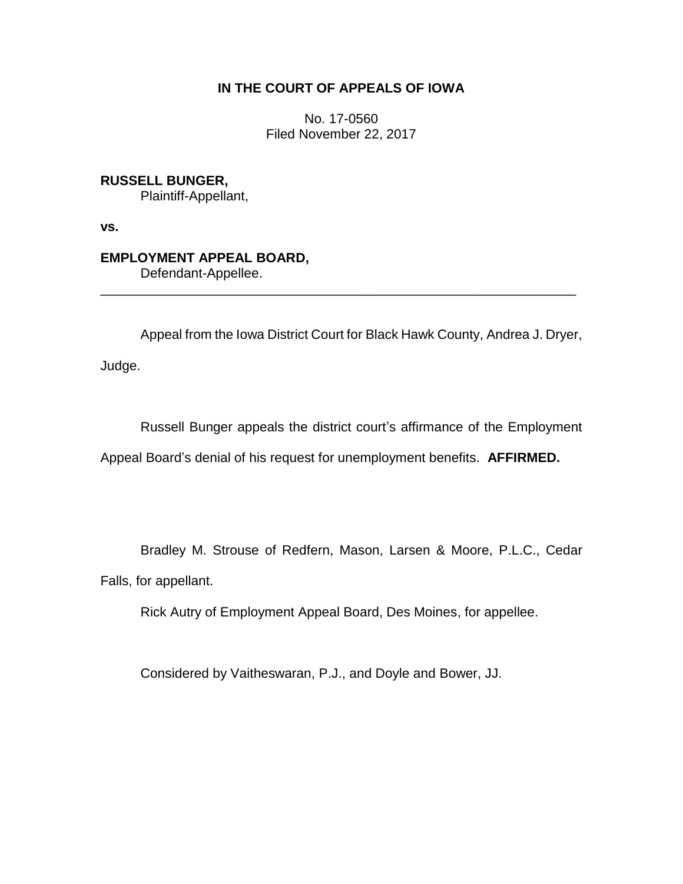### **IN THE COURT OF APPEALS OF IOWA**

No. 17-0560 Filed November 22, 2017

**RUSSELL BUNGER,** Plaintiff-Appellant,

**vs.**

# **EMPLOYMENT APPEAL BOARD,**

Defendant-Appellee.

Appeal from the Iowa District Court for Black Hawk County, Andrea J. Dryer,

\_\_\_\_\_\_\_\_\_\_\_\_\_\_\_\_\_\_\_\_\_\_\_\_\_\_\_\_\_\_\_\_\_\_\_\_\_\_\_\_\_\_\_\_\_\_\_\_\_\_\_\_\_\_\_\_\_\_\_\_\_\_\_\_

Judge.

Russell Bunger appeals the district court's affirmance of the Employment Appeal Board's denial of his request for unemployment benefits. **AFFIRMED.**

Bradley M. Strouse of Redfern, Mason, Larsen & Moore, P.L.C., Cedar Falls, for appellant.

Rick Autry of Employment Appeal Board, Des Moines, for appellee.

Considered by Vaitheswaran, P.J., and Doyle and Bower, JJ.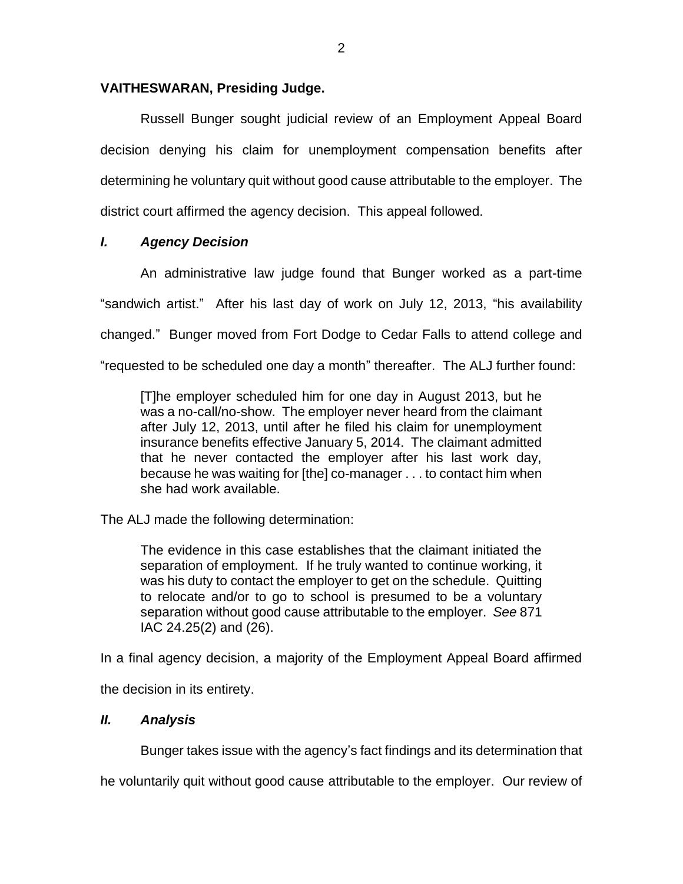### **VAITHESWARAN, Presiding Judge.**

Russell Bunger sought judicial review of an Employment Appeal Board decision denying his claim for unemployment compensation benefits after determining he voluntary quit without good cause attributable to the employer. The district court affirmed the agency decision. This appeal followed.

### *I. Agency Decision*

An administrative law judge found that Bunger worked as a part-time "sandwich artist." After his last day of work on July 12, 2013, "his availability changed." Bunger moved from Fort Dodge to Cedar Falls to attend college and "requested to be scheduled one day a month" thereafter. The ALJ further found:

[T]he employer scheduled him for one day in August 2013, but he was a no-call/no-show. The employer never heard from the claimant after July 12, 2013, until after he filed his claim for unemployment insurance benefits effective January 5, 2014. The claimant admitted that he never contacted the employer after his last work day, because he was waiting for [the] co-manager . . . to contact him when she had work available.

The ALJ made the following determination:

The evidence in this case establishes that the claimant initiated the separation of employment. If he truly wanted to continue working, it was his duty to contact the employer to get on the schedule. Quitting to relocate and/or to go to school is presumed to be a voluntary separation without good cause attributable to the employer. *See* 871 IAC 24.25(2) and (26).

In a final agency decision, a majority of the Employment Appeal Board affirmed

the decision in its entirety.

## *II. Analysis*

Bunger takes issue with the agency's fact findings and its determination that

he voluntarily quit without good cause attributable to the employer. Our review of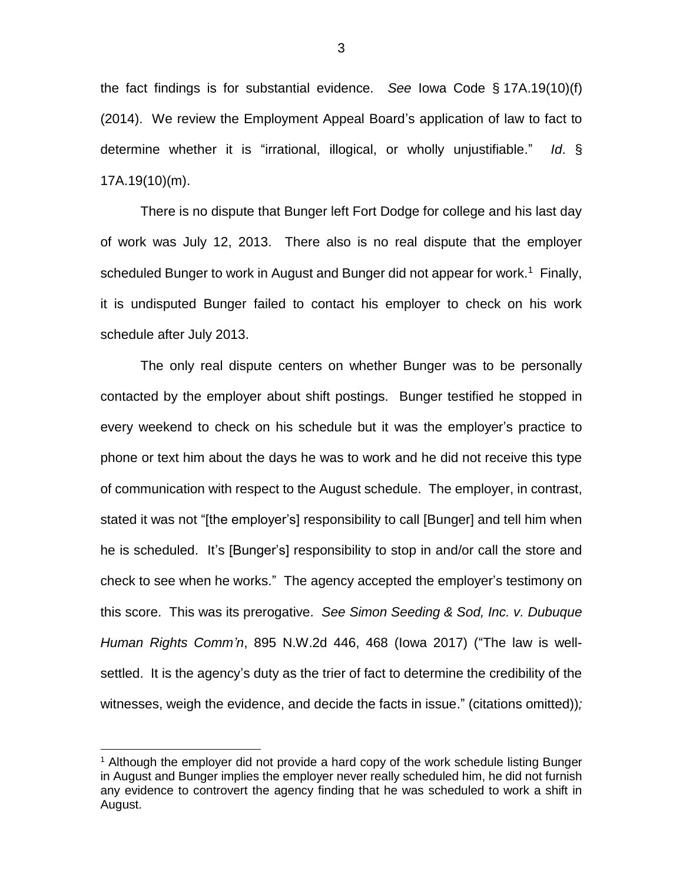the fact findings is for substantial evidence. *See* Iowa Code § 17A.19(10)(f) (2014). We review the Employment Appeal Board's application of law to fact to determine whether it is "irrational, illogical, or wholly unjustifiable." *Id*. § 17A.19(10)(m).

There is no dispute that Bunger left Fort Dodge for college and his last day of work was July 12, 2013. There also is no real dispute that the employer scheduled Bunger to work in August and Bunger did not appear for work.<sup>1</sup> Finally, it is undisputed Bunger failed to contact his employer to check on his work schedule after July 2013.

The only real dispute centers on whether Bunger was to be personally contacted by the employer about shift postings. Bunger testified he stopped in every weekend to check on his schedule but it was the employer's practice to phone or text him about the days he was to work and he did not receive this type of communication with respect to the August schedule. The employer, in contrast, stated it was not "[the employer's] responsibility to call [Bunger] and tell him when he is scheduled. It's [Bunger's] responsibility to stop in and/or call the store and check to see when he works." The agency accepted the employer's testimony on this score. This was its prerogative. *See Simon Seeding & Sod, Inc. v. Dubuque Human Rights Comm'n*, 895 N.W.2d 446, 468 (Iowa 2017) ("The law is wellsettled. It is the agency's duty as the trier of fact to determine the credibility of the witnesses, weigh the evidence, and decide the facts in issue." (citations omitted))*;*

 $\overline{a}$ 

 $1$  Although the employer did not provide a hard copy of the work schedule listing Bunger in August and Bunger implies the employer never really scheduled him, he did not furnish any evidence to controvert the agency finding that he was scheduled to work a shift in August.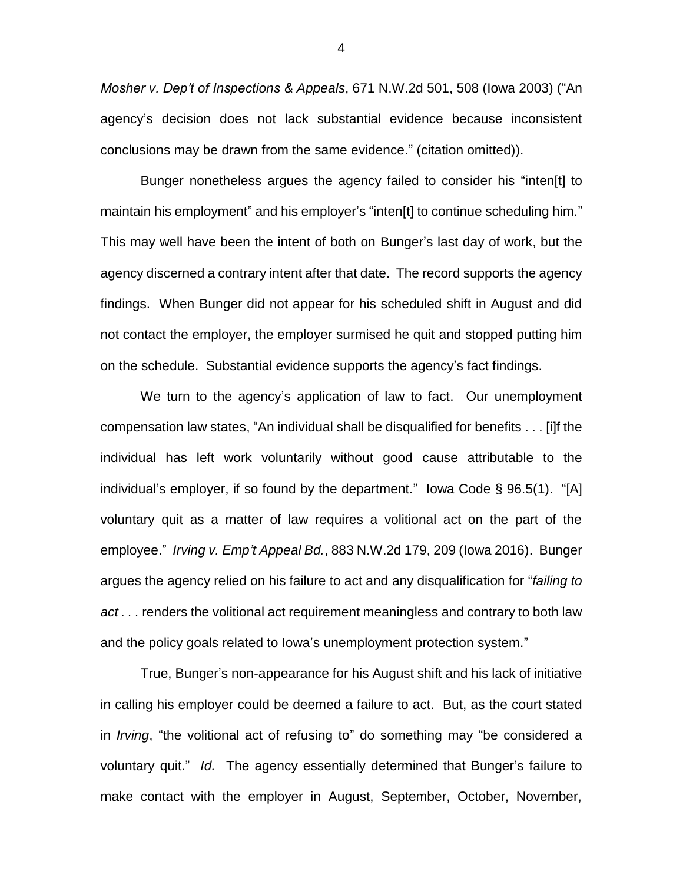*Mosher v. Dep't of Inspections & Appeals*, 671 N.W.2d 501, 508 (Iowa 2003) ("An agency's decision does not lack substantial evidence because inconsistent conclusions may be drawn from the same evidence." (citation omitted)).

Bunger nonetheless argues the agency failed to consider his "inten[t] to maintain his employment" and his employer's "inten[t] to continue scheduling him." This may well have been the intent of both on Bunger's last day of work, but the agency discerned a contrary intent after that date. The record supports the agency findings. When Bunger did not appear for his scheduled shift in August and did not contact the employer, the employer surmised he quit and stopped putting him on the schedule. Substantial evidence supports the agency's fact findings.

We turn to the agency's application of law to fact. Our unemployment compensation law states, "An individual shall be disqualified for benefits . . . [i]f the individual has left work voluntarily without good cause attributable to the individual's employer, if so found by the department." Iowa Code § 96.5(1). "[A] voluntary quit as a matter of law requires a volitional act on the part of the employee." *Irving v. Emp't Appeal Bd.*, 883 N.W.2d 179, 209 (Iowa 2016). Bunger argues the agency relied on his failure to act and any disqualification for "*failing to act . . .* renders the volitional act requirement meaningless and contrary to both law and the policy goals related to Iowa's unemployment protection system."

True, Bunger's non-appearance for his August shift and his lack of initiative in calling his employer could be deemed a failure to act. But, as the court stated in *Irving*, "the volitional act of refusing to" do something may "be considered a voluntary quit." *Id.* The agency essentially determined that Bunger's failure to make contact with the employer in August, September, October, November,

4